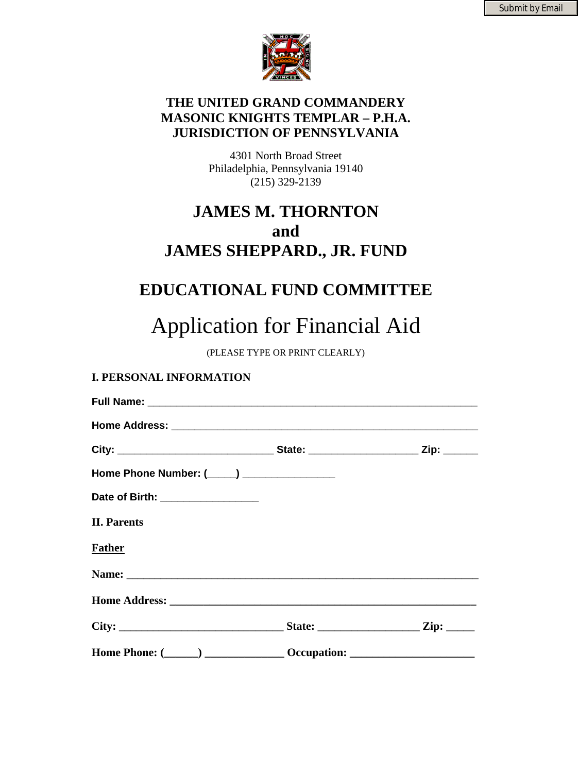

## **THE UNITED GRAND COMMANDERY MASONIC KNIGHTS TEMPLAR – P.H.A. JURISDICTION OF PENNSYLVANIA**

4301 North Broad Street Philadelphia, Pennsylvania 19140 (215) 329-2139

## **JAMES M. THORNTON and JAMES SHEPPARD., JR. FUND**

## **EDUCATIONAL FUND COMMITTEE**

# Application for Financial Aid

(PLEASE TYPE OR PRINT CLEARLY)

## **I. PERSONAL INFORMATION**

| Home Phone Number: (____) ________________                                       |  |
|----------------------------------------------------------------------------------|--|
| Date of Birth: _________________                                                 |  |
| <b>II. Parents</b>                                                               |  |
| <b>Father</b>                                                                    |  |
|                                                                                  |  |
|                                                                                  |  |
|                                                                                  |  |
| Home Phone: (______) _________________ Occupation: _____________________________ |  |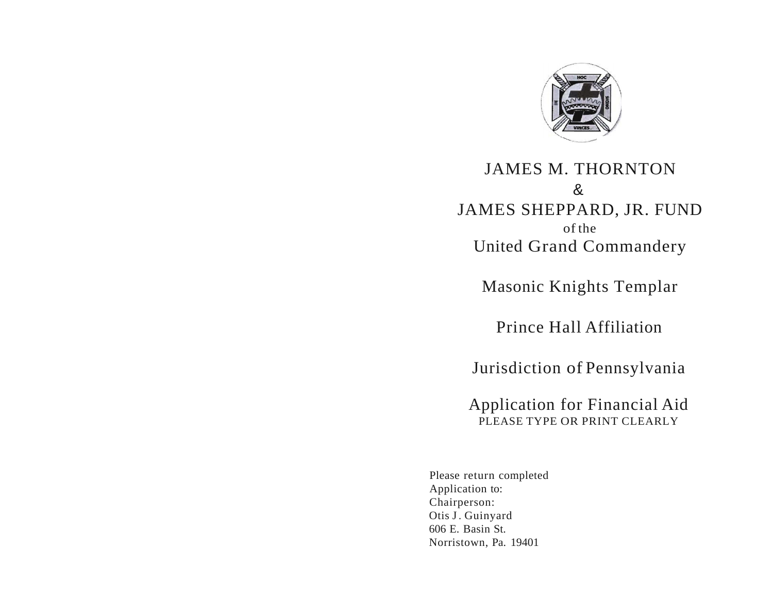

## JAMES M. THORNTON & JAMES SHEPPARD, JR. FUND of the United Grand Commandery

Masonic Knights Templar

Prince Hall Affiliation

Jurisdiction of Pennsylvania

Application for Financial Aid PLEASE TYPE OR PRINT CLEARLY

Please return completed Application to: Chairperson: Otis J. Guinyard 606 E. Basin St. Norristown, Pa. 19401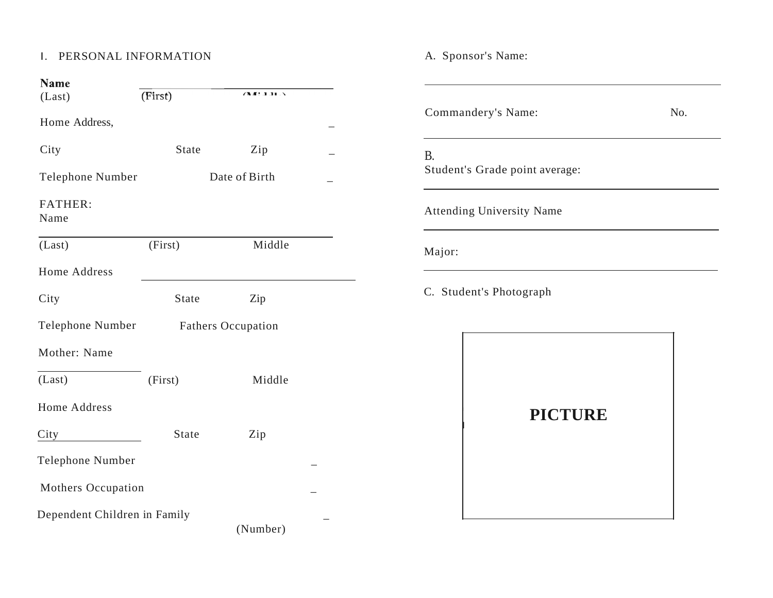## I. PERSONAL INFORMATION A. Sponsor's Name:

| <b>Name</b>                  |                           |          |  |
|------------------------------|---------------------------|----------|--|
| (Last)                       | (First)                   | (11.11)  |  |
| Home Address,                |                           |          |  |
| City                         | State                     | Zip      |  |
| <b>Telephone Number</b>      | Date of Birth             |          |  |
| <b>FATHER:</b><br>Name       |                           |          |  |
| (Last)                       | (First)                   | Middle   |  |
| Home Address                 |                           |          |  |
| City                         | State                     | Zip      |  |
| Telephone Number             | <b>Fathers Occupation</b> |          |  |
| Mother: Name                 |                           |          |  |
| (Last)                       | (First)                   | Middle   |  |
| <b>Home Address</b>          |                           |          |  |
| City                         | State                     | Zip      |  |
| Telephone Number             |                           |          |  |
| Mothers Occupation           |                           |          |  |
| Dependent Children in Family |                           | (Number) |  |

| Commandery's Name:                          | No. |
|---------------------------------------------|-----|
| <b>B.</b><br>Student's Grade point average: |     |
| <b>Attending University Name</b>            |     |
| Major:                                      |     |
| C. Student's Photograph                     |     |



I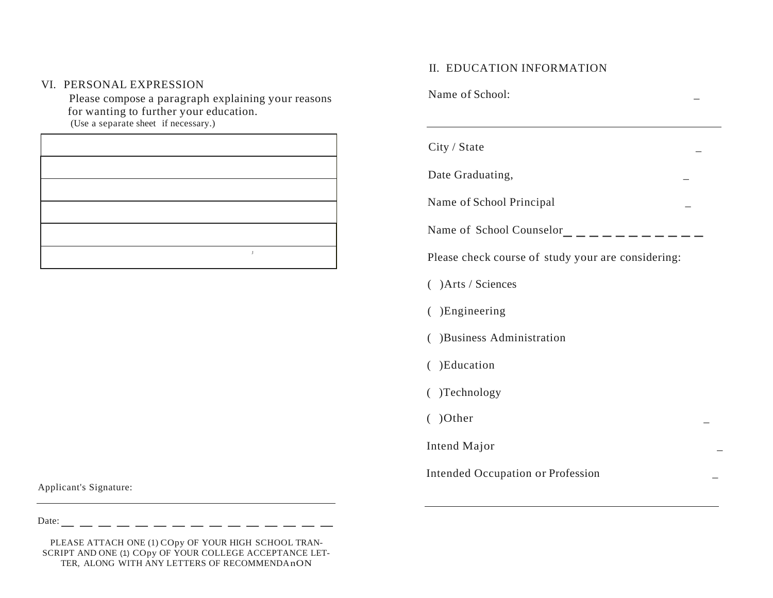### VI. PERSONAL EXPRESSION

Please compose a paragraph explaining your reasons for wanting to further your education. (Use a separate sheet if necessary.)

Applicant's Signature:

----------- II. EDUCATION INFORMATION Name of School: City / State Date Graduating, Name of School Principal \_ Name of School Counselor Please check course of study your are considering:

- ( )Arts / Sciences
- ( )Engineering
- ( )Business Administration
- ( )Education
- ( )Technology
- $( )*Other*$

Intend Major \_

Intended Occupation or Profession \_

Date:

--------------- PLEASE ATTACH ONE (1) COpy OF YOUR HIGH SCHOOL TRAN SCRIPT AND ONE (1) COpy OF YOUR COLLEGE ACCEPTANCE LET TER, ALONG WITH ANY LETTERS OF RECOMMENDAnON